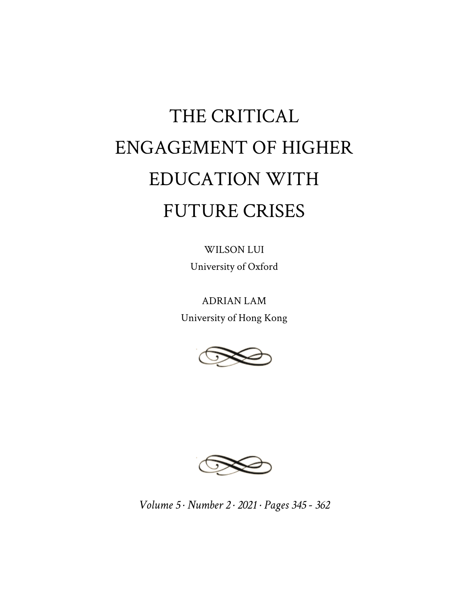# THE CRITICAL ENGAGEMENT OF HIGHER EDUCATION WITH FUTURE CRISES

WILSON LUI University of Oxford

ADRIAN LAM University of Hong Kong





*Volume 5 · Number 2 · 2021 · Pages 345 - 362*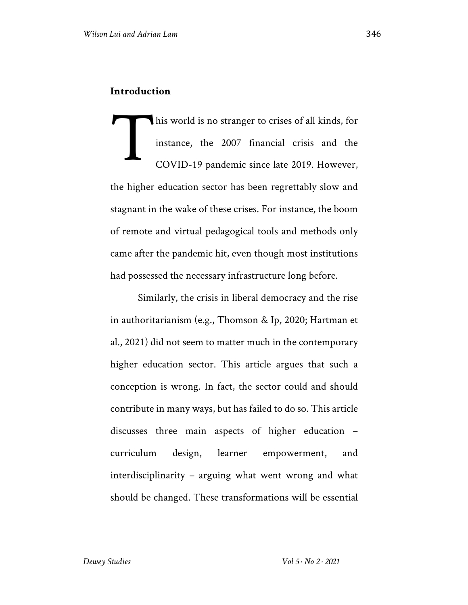his world is no stranger to crises of all kinds, for instance, the 2007 financial crisis and the COVID-19 pandemic since late 2019. However, the higher education sector has been regrettably slow and stagnant in the wake of these crises. For instance, the boom of remote and virtual pedagogical tools and methods only came after the pandemic hit, even though most institutions had possessed the necessary infrastructure long before. T

Similarly, the crisis in liberal democracy and the rise in authoritarianism (e.g., Thomson & Ip, 2020; Hartman et al., 2021) did not seem to matter much in the contemporary higher education sector. This article argues that such a conception is wrong. In fact, the sector could and should contribute in many ways, but has failed to do so. This article discusses three main aspects of higher education – curriculum design, learner empowerment, and interdisciplinarity – arguing what went wrong and what should be changed. These transformations will be essential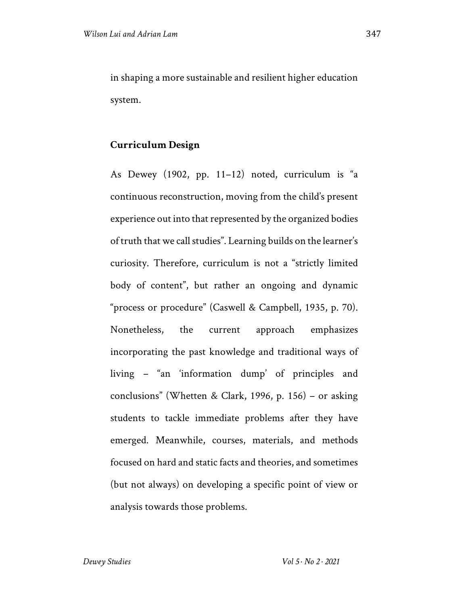in shaping a more sustainable and resilient higher education system.

### **Curriculum Design**

As Dewey (1902, pp. 11–12) noted, curriculum is "a continuous reconstruction, moving from the child's present experience out into that represented by the organized bodies of truth that we call studies". Learning builds on the learner's curiosity. Therefore, curriculum is not a "strictly limited body of content", but rather an ongoing and dynamic "process or procedure" (Caswell & Campbell, 1935, p. 70). Nonetheless, the current approach emphasizes incorporating the past knowledge and traditional ways of living – "an 'information dump' of principles and conclusions" (Whetten & Clark, 1996, p. 156) – or asking students to tackle immediate problems after they have emerged. Meanwhile, courses, materials, and methods focused on hard and static facts and theories, and sometimes (but not always) on developing a specific point of view or analysis towards those problems.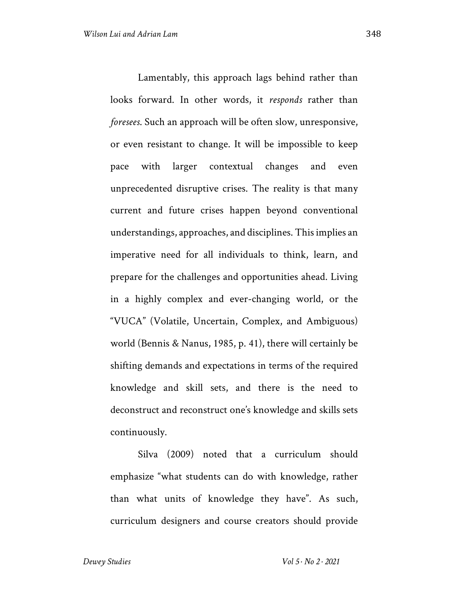Lamentably, this approach lags behind rather than looks forward. In other words, it *responds* rather than *foresees*. Such an approach will be often slow, unresponsive, or even resistant to change. It will be impossible to keep pace with larger contextual changes and even unprecedented disruptive crises. The reality is that many current and future crises happen beyond conventional understandings, approaches, and disciplines. This implies an imperative need for all individuals to think, learn, and prepare for the challenges and opportunities ahead. Living in a highly complex and ever-changing world, or the "VUCA" (Volatile, Uncertain, Complex, and Ambiguous) world (Bennis & Nanus, 1985, p. 41), there will certainly be shifting demands and expectations in terms of the required knowledge and skill sets, and there is the need to deconstruct and reconstruct one's knowledge and skills sets continuously.

Silva (2009) noted that a curriculum should emphasize "what students can do with knowledge, rather than what units of knowledge they have". As such, curriculum designers and course creators should provide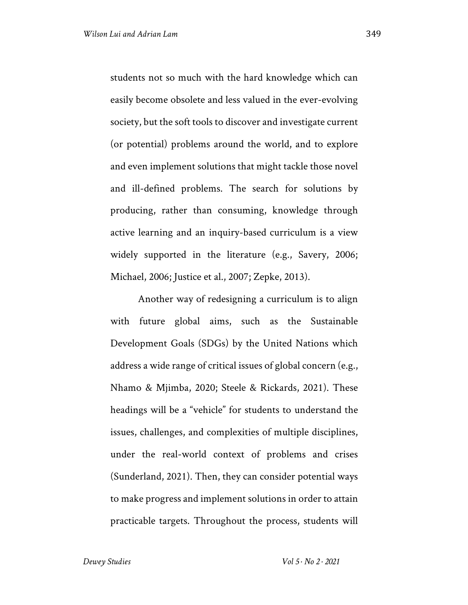students not so much with the hard knowledge which can easily become obsolete and less valued in the ever-evolving society, but the soft tools to discover and investigate current (or potential) problems around the world, and to explore and even implement solutions that might tackle those novel and ill-defined problems. The search for solutions by producing, rather than consuming, knowledge through active learning and an inquiry-based curriculum is a view widely supported in the literature (e.g., Savery, 2006; Michael, 2006; Justice et al., 2007; Zepke, 2013).

Another way of redesigning a curriculum is to align with future global aims, such as the Sustainable Development Goals (SDGs) by the United Nations which address a wide range of critical issues of global concern (e.g., Nhamo & Mjimba, 2020; Steele & Rickards, 2021). These headings will be a "vehicle" for students to understand the issues, challenges, and complexities of multiple disciplines, under the real-world context of problems and crises (Sunderland, 2021). Then, they can consider potential ways to make progress and implement solutions in order to attain practicable targets. Throughout the process, students will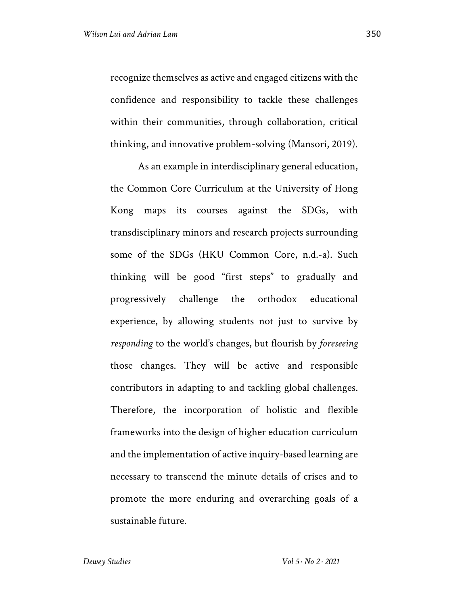recognize themselves as active and engaged citizens with the confidence and responsibility to tackle these challenges within their communities, through collaboration, critical thinking, and innovative problem-solving (Mansori, 2019).

As an example in interdisciplinary general education, the Common Core Curriculum at the University of Hong Kong maps its courses against the SDGs, with transdisciplinary minors and research projects surrounding some of the SDGs (HKU Common Core, n.d.-a). Such thinking will be good "first steps" to gradually and progressively challenge the orthodox educational experience, by allowing students not just to survive by *responding* to the world's changes, but flourish by *foreseeing* those changes. They will be active and responsible contributors in adapting to and tackling global challenges. Therefore, the incorporation of holistic and flexible frameworks into the design of higher education curriculum and the implementation of active inquiry-based learning are necessary to transcend the minute details of crises and to promote the more enduring and overarching goals of a sustainable future.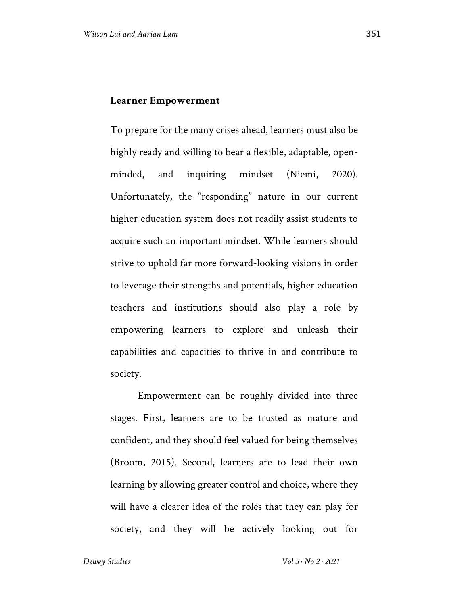To prepare for the many crises ahead, learners must also be highly ready and willing to bear a flexible, adaptable, openminded, and inquiring mindset (Niemi, 2020). Unfortunately, the "responding" nature in our current higher education system does not readily assist students to acquire such an important mindset. While learners should strive to uphold far more forward-looking visions in order to leverage their strengths and potentials, higher education teachers and institutions should also play a role by empowering learners to explore and unleash their capabilities and capacities to thrive in and contribute to society.

Empowerment can be roughly divided into three stages. First, learners are to be trusted as mature and confident, and they should feel valued for being themselves (Broom, 2015). Second, learners are to lead their own learning by allowing greater control and choice, where they will have a clearer idea of the roles that they can play for society, and they will be actively looking out for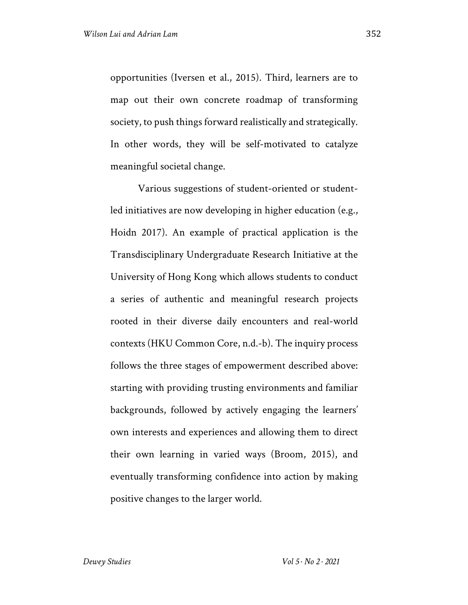opportunities (Iversen et al., 2015). Third, learners are to map out their own concrete roadmap of transforming society, to push things forward realistically and strategically. In other words, they will be self-motivated to catalyze meaningful societal change.

Various suggestions of student-oriented or studentled initiatives are now developing in higher education (e.g., Hoidn 2017). An example of practical application is the Transdisciplinary Undergraduate Research Initiative at the University of Hong Kong which allows students to conduct a series of authentic and meaningful research projects rooted in their diverse daily encounters and real-world contexts (HKU Common Core, n.d.-b). The inquiry process follows the three stages of empowerment described above: starting with providing trusting environments and familiar backgrounds, followed by actively engaging the learners' own interests and experiences and allowing them to direct their own learning in varied ways (Broom, 2015), and eventually transforming confidence into action by making positive changes to the larger world.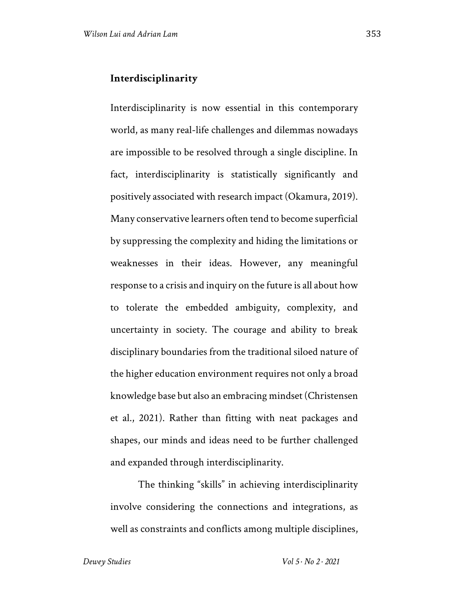#### **Interdisciplinarity**

Interdisciplinarity is now essential in this contemporary world, as many real-life challenges and dilemmas nowadays are impossible to be resolved through a single discipline. In fact, interdisciplinarity is statistically significantly and positively associated with research impact (Okamura, 2019). Many conservative learners often tend to become superficial by suppressing the complexity and hiding the limitations or weaknesses in their ideas. However, any meaningful response to a crisis and inquiry on the future is all about how to tolerate the embedded ambiguity, complexity, and uncertainty in society. The courage and ability to break disciplinary boundaries from the traditional siloed nature of the higher education environment requires not only a broad knowledge base but also an embracing mindset (Christensen et al., 2021). Rather than fitting with neat packages and shapes, our minds and ideas need to be further challenged and expanded through interdisciplinarity.

The thinking "skills" in achieving interdisciplinarity involve considering the connections and integrations, as well as constraints and conflicts among multiple disciplines,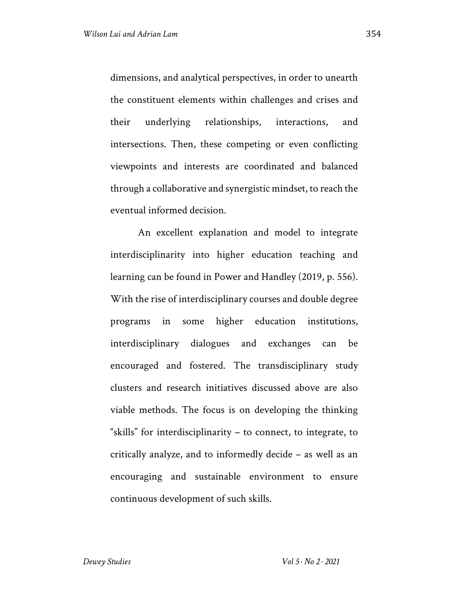dimensions, and analytical perspectives, in order to unearth the constituent elements within challenges and crises and their underlying relationships, interactions, and intersections. Then, these competing or even conflicting viewpoints and interests are coordinated and balanced through a collaborative and synergistic mindset, to reach the eventual informed decision.

An excellent explanation and model to integrate interdisciplinarity into higher education teaching and learning can be found in Power and Handley (2019, p. 556). With the rise of interdisciplinary courses and double degree programs in some higher education institutions, interdisciplinary dialogues and exchanges can be encouraged and fostered. The transdisciplinary study clusters and research initiatives discussed above are also viable methods. The focus is on developing the thinking "skills" for interdisciplinarity – to connect, to integrate, to critically analyze, and to informedly decide – as well as an encouraging and sustainable environment to ensure continuous development of such skills.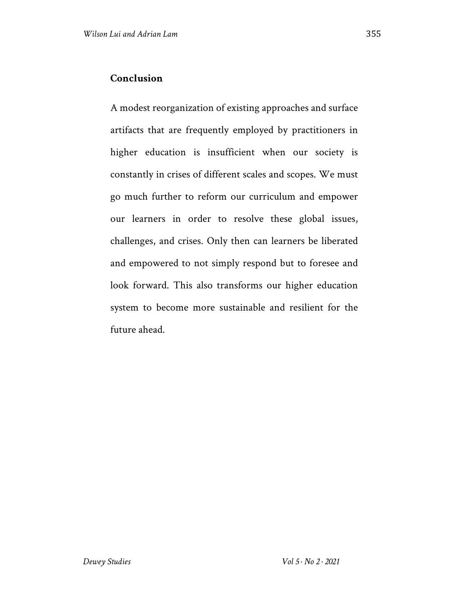## **Conclusion**

A modest reorganization of existing approaches and surface artifacts that are frequently employed by practitioners in higher education is insufficient when our society is constantly in crises of different scales and scopes. We must go much further to reform our curriculum and empower our learners in order to resolve these global issues, challenges, and crises. Only then can learners be liberated and empowered to not simply respond but to foresee and look forward. This also transforms our higher education system to become more sustainable and resilient for the future ahead.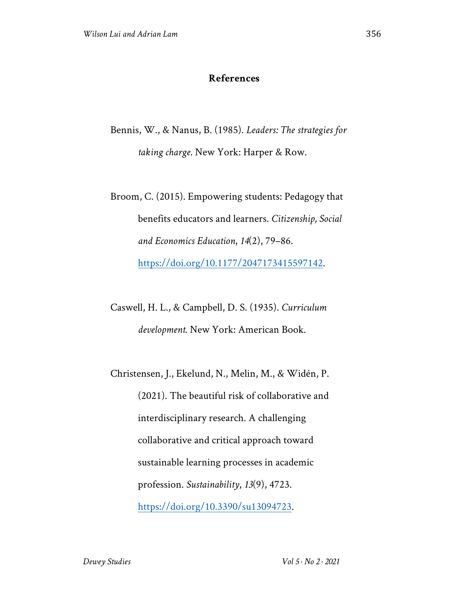#### **References**

- Bennis, W., & Nanus, B. (1985). *Leaders: The strategies for taking charge*. New York: Harper & Row.
- Broom, C. (2015). Empowering students: Pedagogy that benefits educators and learners. *Citizenship, Social and Economics Education*, *14*(2), 79–86. https://doi.org/10.1177/2047173415597142.
- Caswell, H. L., & Campbell, D. S. (1935). *Curriculum development*. New York: American Book.
- Christensen, J., Ekelund, N., Melin, M., & Widén, P. (2021). The beautiful risk of collaborative and interdisciplinary research. A challenging collaborative and critical approach toward sustainable learning processes in academic profession. *Sustainability*, *13*(9), 4723. https://doi.org/10.3390/su13094723.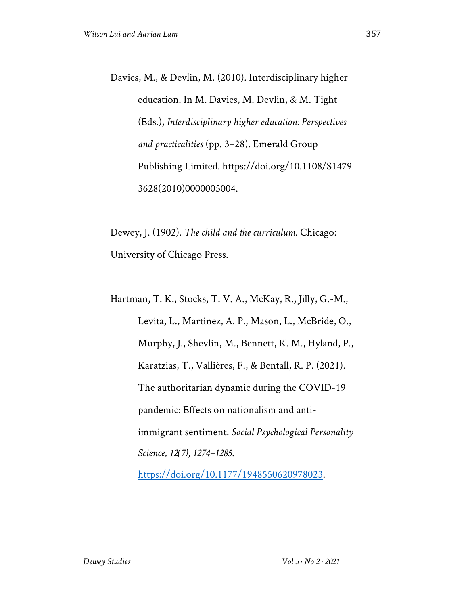Davies, M., & Devlin, M. (2010). Interdisciplinary higher education. In M. Davies, M. Devlin, & M. Tight (Eds.), *Interdisciplinary higher education: Perspectives and practicalities* (pp. 3–28). Emerald Group Publishing Limited. https://doi.org/10.1108/S1479- 3628(2010)0000005004.

Dewey, J. (1902). *The child and the curriculum*. Chicago: University of Chicago Press.

Hartman, T. K., Stocks, T. V. A., McKay, R., Jilly, G.-M., Levita, L., Martinez, A. P., Mason, L., McBride, O., Murphy, J., Shevlin, M., Bennett, K. M., Hyland, P., Karatzias, T., Vallières, F., & Bentall, R. P. (2021). The authoritarian dynamic during the COVID-19 pandemic: Effects on nationalism and antiimmigrant sentiment. *Social Psychological Personality Science, 12(7), 1274–1285.* 

https://doi.org/10.1177/1948550620978023.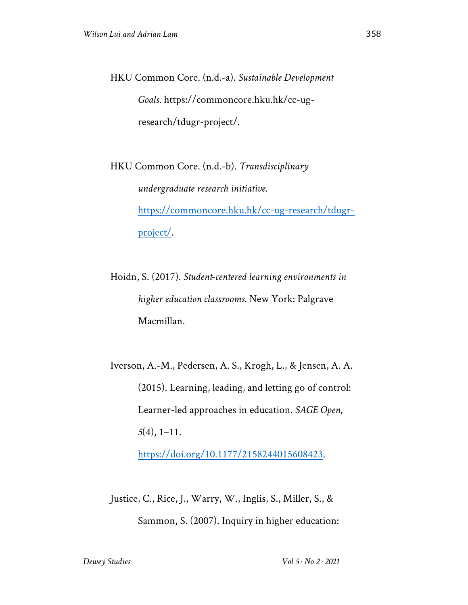HKU Common Core. (n.d.-a). *Sustainable Development Goals*. https://commoncore.hku.hk/cc-ugresearch/tdugr-project/.

HKU Common Core. (n.d.-b). *Transdisciplinary undergraduate research initiative*. https://commoncore.hku.hk/cc-ug-research/tdugrproject/.

Hoidn, S. (2017). *Student-centered learning environments in higher education classrooms*. New York: Palgrave Macmillan.

Iverson, A.-M., Pedersen, A. S., Krogh, L., & Jensen, A. A. (2015). Learning, leading, and letting go of control: Learner-led approaches in education. *SAGE Open*, *5*(4), 1–11.

https://doi.org/10.1177/2158244015608423.

Justice, C., Rice, J., Warry, W., Inglis, S., Miller, S., & Sammon, S. (2007). Inquiry in higher education: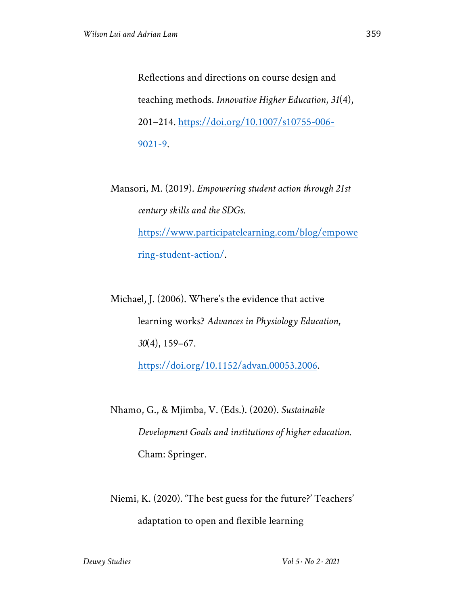Reflections and directions on course design and teaching methods. *Innovative Higher Education*, *31*(4), 201–214. https://doi.org/10.1007/s10755-006- 9021-9.

Mansori, M. (2019). *Empowering student action through 21st century skills and the SDGs*. https://www.participatelearning.com/blog/empowe ring-student-action/.

Michael, J. (2006). Where's the evidence that active learning works? *Advances in Physiology Education*, *30*(4), 159–67.

https://doi.org/10.1152/advan.00053.2006.

Nhamo, G., & Mjimba, V. (Eds.). (2020). *Sustainable Development Goals and institutions of higher education*. Cham: Springer.

Niemi, K. (2020). 'The best guess for the future?' Teachers' adaptation to open and flexible learning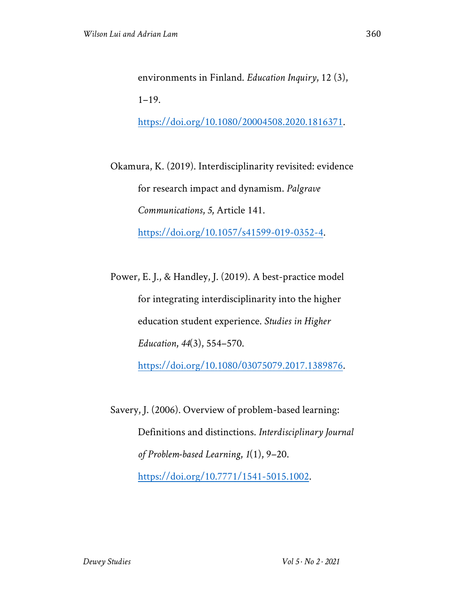environments in Finland. *Education Inquiry*, 12 (3),  $1-19.$ 

https://doi.org/10.1080/20004508.2020.1816371.

Okamura, K. (2019). Interdisciplinarity revisited: evidence for research impact and dynamism. *Palgrave Communications*, *5*, Article 141. https://doi.org/10.1057/s41599-019-0352-4.

Power, E. J., & Handley, J. (2019). A best-practice model for integrating interdisciplinarity into the higher education student experience. *Studies in Higher Education*, *44*(3), 554–570. https://doi.org/10.1080/03075079.2017.1389876.

Savery, J. (2006). Overview of problem-based learning: Definitions and distinctions. *Interdisciplinary Journal of Problem-based Learning*, *1*(1), 9–20. https://doi.org/10.7771/1541-5015.1002.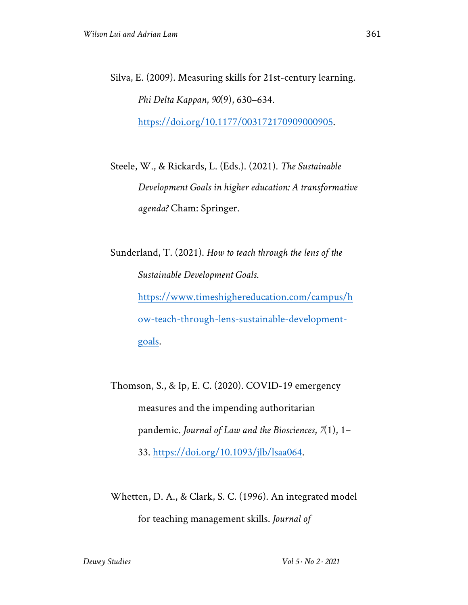Silva, E. (2009). Measuring skills for 21st-century learning. *Phi Delta Kappan*, *90*(9), 630–634. https://doi.org/10.1177/003172170909000905.

Steele, W., & Rickards, L. (Eds.). (2021). *The Sustainable Development Goals in higher education: A transformative agenda?* Cham: Springer.

Sunderland, T. (2021). *How to teach through the lens of the Sustainable Development Goals*. https://www.timeshighereducation.com/campus/h ow-teach-through-lens-sustainable-developmentgoals.

Thomson, S., & Ip, E. C. (2020). COVID-19 emergency measures and the impending authoritarian pandemic. *Journal of Law and the Biosciences*, *7*(1), 1– 33. https://doi.org/10.1093/jlb/lsaa064.

Whetten, D. A., & Clark, S. C. (1996). An integrated model for teaching management skills. *Journal of*